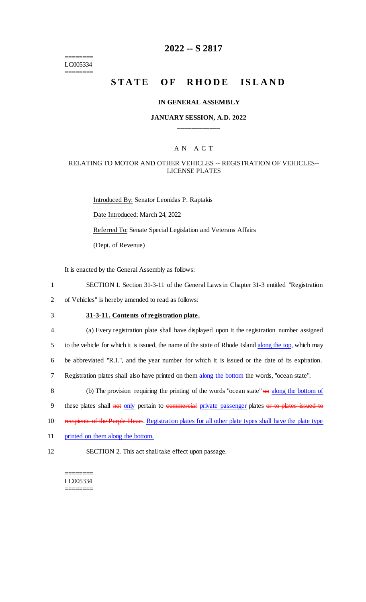======== LC005334 ========

# **2022 -- S 2817**

# **STATE OF RHODE ISLAND**

#### **IN GENERAL ASSEMBLY**

#### **JANUARY SESSION, A.D. 2022 \_\_\_\_\_\_\_\_\_\_\_\_**

#### A N A C T

#### RELATING TO MOTOR AND OTHER VEHICLES -- REGISTRATION OF VEHICLES-- LICENSE PLATES

Introduced By: Senator Leonidas P. Raptakis Date Introduced: March 24, 2022 Referred To: Senate Special Legislation and Veterans Affairs (Dept. of Revenue)

It is enacted by the General Assembly as follows:

1 SECTION 1. Section 31-3-11 of the General Laws in Chapter 31-3 entitled "Registration

2 of Vehicles" is hereby amended to read as follows:

3 **31-3-11. Contents of registration plate.**

 (a) Every registration plate shall have displayed upon it the registration number assigned 5 to the vehicle for which it is issued, the name of the state of Rhode Island along the top, which may be abbreviated "R.I.", and the year number for which it is issued or the date of its expiration. Registration plates shall also have printed on them along the bottom the words, "ocean state".

8 (b) The provision requiring the printing of the words "ocean state" on along the bottom of 9 these plates shall not only pertain to commercial private passenger plates or to plates issued to

- 10 recipients of the Purple Heart. Registration plates for all other plate types shall have the plate type
- 11 printed on them along the bottom.
- 12 SECTION 2. This act shall take effect upon passage.

======== LC005334 ========